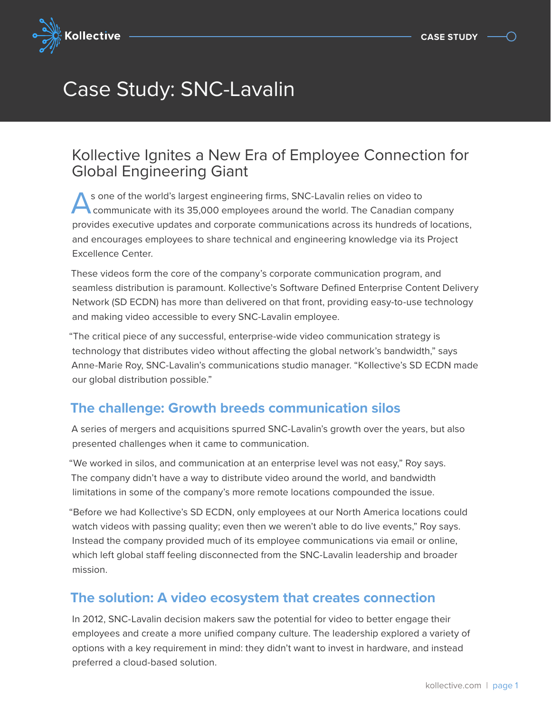

## Case Study: SNC-Lavalin

## Kollective Ignites a New Era of Employee Connection for Global Engineering Giant

s one of the world's largest engineering firms, SNC-Lavalin relies on video to communicate with its 35,000 employees around the world. The Canadian company provides executive updates and corporate communications across its hundreds of locations, and encourages employees to share technical and engineering knowledge via its Project Excellence Center.

These videos form the core of the company's corporate communication program, and seamless distribution is paramount. Kollective's Software Defined Enterprise Content Delivery Network (SD ECDN) has more than delivered on that front, providing easy-to-use technology and making video accessible to every SNC-Lavalin employee.

"The critical piece of any successful, enterprise-wide video communication strategy is technology that distributes video without affecting the global network's bandwidth," says Anne-Marie Roy, SNC-Lavalin's communications studio manager. "Kollective's SD ECDN made our global distribution possible."

## **The challenge: Growth breeds communication silos**

A series of mergers and acquisitions spurred SNC-Lavalin's growth over the years, but also presented challenges when it came to communication.

"We worked in silos, and communication at an enterprise level was not easy," Roy says. The company didn't have a way to distribute video around the world, and bandwidth limitations in some of the company's more remote locations compounded the issue.

"Before we had Kollective's SD ECDN, only employees at our North America locations could watch videos with passing quality; even then we weren't able to do live events," Roy says. Instead the company provided much of its employee communications via email or online, which left global staff feeling disconnected from the SNC-Lavalin leadership and broader mission.

## **The solution: A video ecosystem that creates connection**

In 2012, SNC-Lavalin decision makers saw the potential for video to better engage their employees and create a more unified company culture. The leadership explored a variety of options with a key requirement in mind: they didn't want to invest in hardware, and instead preferred a cloud-based solution.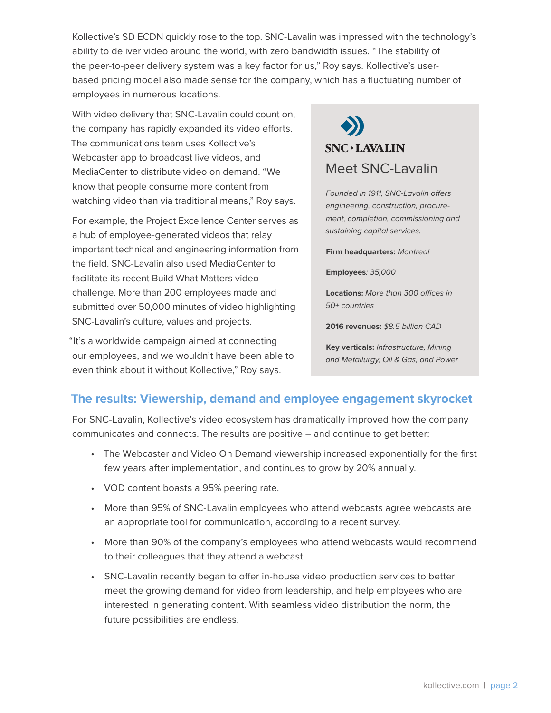Kollective's SD ECDN quickly rose to the top. SNC-Lavalin was impressed with the technology's ability to deliver video around the world, with zero bandwidth issues. "The stability of the peer-to-peer delivery system was a key factor for us," Roy says. Kollective's userbased pricing model also made sense for the company, which has a fluctuating number of employees in numerous locations.

With video delivery that SNC-Lavalin could count on, the company has rapidly expanded its video efforts. The communications team uses Kollective's Webcaster app to broadcast live videos, and MediaCenter to distribute video on demand. "We know that people consume more content from watching video than via traditional means," Roy says.

For example, the Project Excellence Center serves as a hub of employee-generated videos that relay important technical and engineering information from the field. SNC-Lavalin also used MediaCenter to facilitate its recent Build What Matters video challenge. More than 200 employees made and submitted over 50,000 minutes of video highlighting SNC-Lavalin's culture, values and projects.

"It's a worldwide campaign aimed at connecting our employees, and we wouldn't have been able to even think about it without Kollective," Roy says.

# $SNC+LAVALIN$ Meet SNC-Lavalin

*Founded in 1911, SNC-Lavalin offers engineering, construction, procurement, completion, commissioning and sustaining capital services.* 

**Firm headquarters:** *Montreal*

**Employees***: 35,000*

**Locations:** *More than 300 offices in 50+ countries*

**2016 revenues:** *\$8.5 billion CAD*

**Key verticals:** *Infrastructure, Mining and Metallurgy, Oil & Gas, and Power*

### **The results: Viewership, demand and employee engagement skyrocket**

For SNC-Lavalin, Kollective's video ecosystem has dramatically improved how the company communicates and connects. The results are positive – and continue to get better:

- The Webcaster and Video On Demand viewership increased exponentially for the first few years after implementation, and continues to grow by 20% annually.
- VOD content boasts a 95% peering rate.
- More than 95% of SNC-Lavalin employees who attend webcasts agree webcasts are an appropriate tool for communication, according to a recent survey.
- More than 90% of the company's employees who attend webcasts would recommend to their colleagues that they attend a webcast.
- SNC-Lavalin recently began to offer in-house video production services to better meet the growing demand for video from leadership, and help employees who are interested in generating content. With seamless video distribution the norm, the future possibilities are endless.